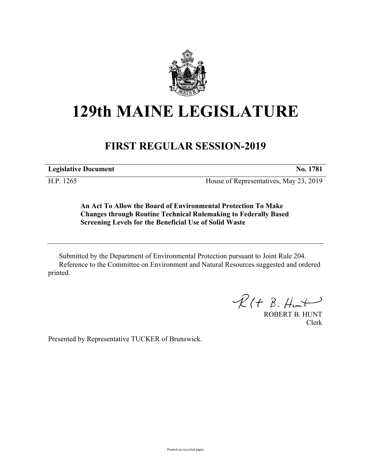

## **129th MAINE LEGISLATURE**

## **FIRST REGULAR SESSION-2019**

**Legislative Document No. 1781**

H.P. 1265 House of Representatives, May 23, 2019

**An Act To Allow the Board of Environmental Protection To Make Changes through Routine Technical Rulemaking to Federally Based Screening Levels for the Beneficial Use of Solid Waste**

Submitted by the Department of Environmental Protection pursuant to Joint Rule 204. Reference to the Committee on Environment and Natural Resources suggested and ordered printed.

 $R(H B. H<sub>un</sub>+)$ 

ROBERT B. HUNT Clerk

Presented by Representative TUCKER of Brunswick.